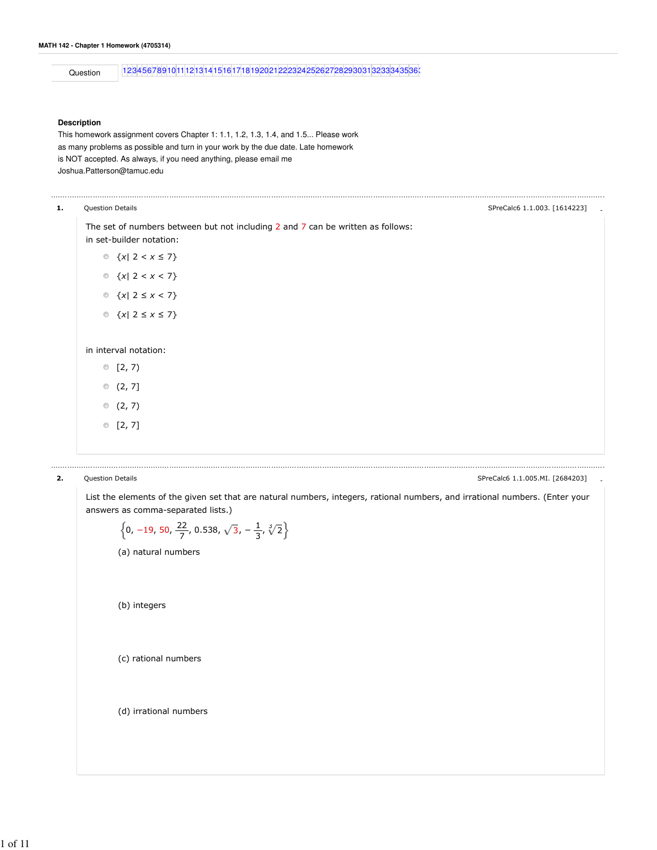```
Question 123456789101112131415161718192021222324252627282930313233343536
```
## **Description**

This homework assignment covers Chapter 1: 1.1, 1.2, 1.3, 1.4, and 1.5... Please work as many problems as possible and turn in your work by the due date. Late homework is NOT accepted. As always, if you need anything, please email me Joshua.Patterson@tamuc.edu

| ------ |  |  |  |
|--------|--|--|--|
|        |  |  |  |
|        |  |  |  |

The set of numbers between but not including 2 and 7 can be written as follows: in set-builder notation:

- {x| 2 < x ≤ 7}  $\text{ x} \{x | 2 < x < 7\}$ {x| 2 ≤ x < 7}
- $\text{C}$  {x| 2 ≤ x ≤ 7}

in interval notation:

- $[2, 7)$
- $(2, 7]$
- $(2, 7)$
- $[2, 7]$

2. Question Details - SPreCalc6 1.1.005.MI. [2684203]

List the elements of the given set that are natural numbers, integers, rational numbers, and irrational numbers. (Enter your answers as comma-separated lists.)

| $\left\{0, -19, 50, \frac{22}{7}, 0.538, \sqrt{3}, -\frac{1}{3}, \sqrt[3]{2}\right\}$ |  |
|---------------------------------------------------------------------------------------|--|
| (a) natural numbers                                                                   |  |
|                                                                                       |  |
|                                                                                       |  |
| (b) integers                                                                          |  |
|                                                                                       |  |
| (c) rational numbers                                                                  |  |
|                                                                                       |  |
|                                                                                       |  |
| (d) irrational numbers                                                                |  |
|                                                                                       |  |
|                                                                                       |  |
|                                                                                       |  |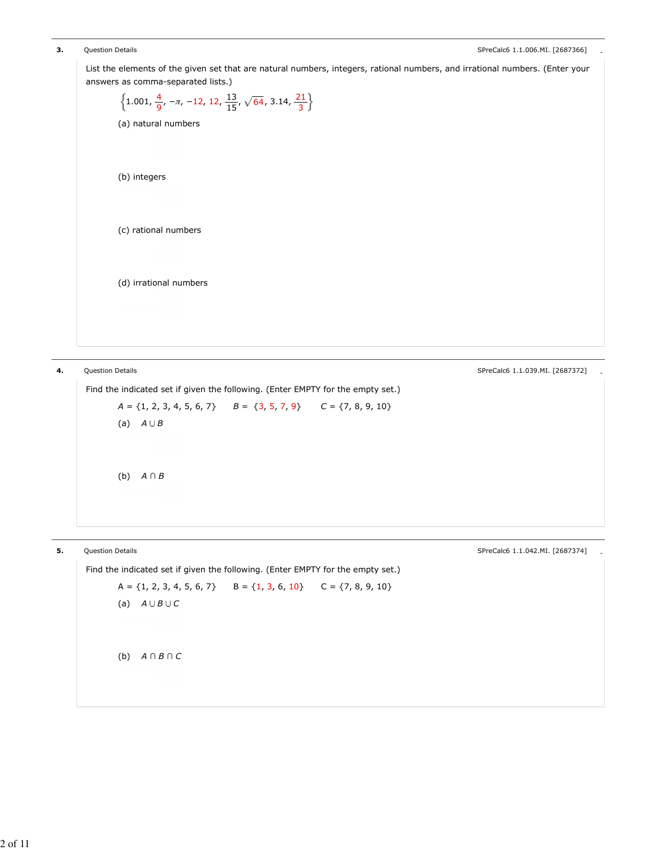```
3. Question Details Containers and the contemporary and the contemporary contemporary contemporary contemporary contemporary contemporary contemporary contemporary contemporary contemporary contemporary contemporary co
        List the elements of the given set that are natural numbers, integers, rational numbers, and irrational numbers. (Enter your
        answers as comma-separated lists.)
                   (a) natural numbers
                   (b) integers
                   (c) rational numbers
                   (d) irrational numbers
                      1.001, \frac{4}{9}, -\pi, -12, 12, \frac{13}{15}, \sqrt{64}, 3.14,
                                                      \frac{13}{15}, \sqrt{64}, 3.14, \frac{21}{3}
```
**4.** Question Details **Alternative Control** Control of the Secret Control of the SPreCalc6 1.1.039.MI. [2687372] Find the indicated set if given the following. (Enter EMPTY for the empty set.)  $A = \{1, 2, 3, 4, 5, 6, 7\}$   $B = \{3, 5, 7, 9\}$   $C = \{7, 8, 9, 10\}$ (a)  $A \cup B$ (b) A ∩ B

5. Question Details - SPreCalc6 1.1.042.MI. [2687374] Find the indicated set if given the following. (Enter EMPTY for the empty set.)  $A = \{1, 2, 3, 4, 5, 6, 7\}$   $B = \{1, 3, 6, 10\}$   $C = \{7, 8, 9, 10\}$ (a)  $A \cup B \cup C$ (b)  $A \cap B \cap C$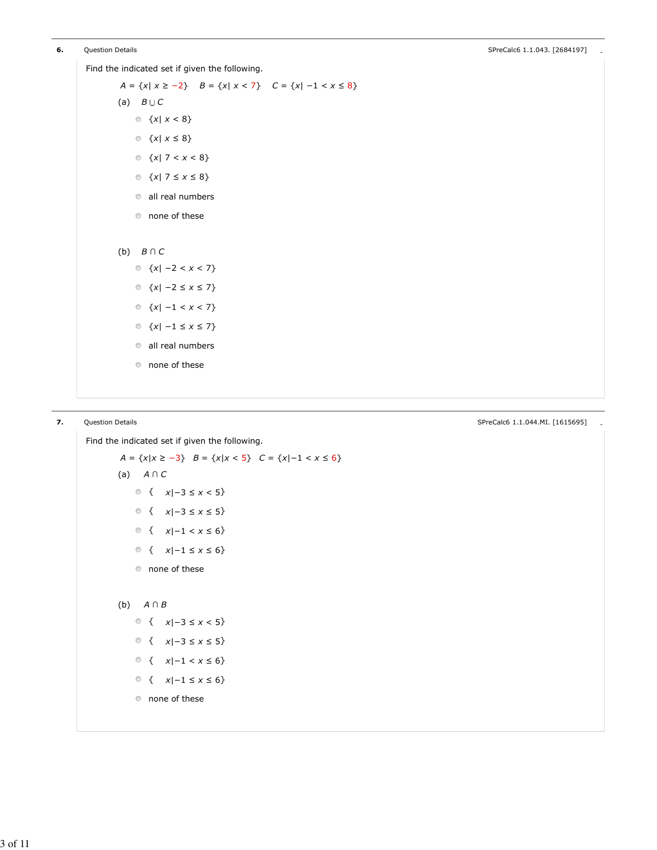Find the indicated set if given the following.

```
(a) B \cup C(b) B \cap CA = \{x | x \ge -2\} B = \{x | x < 7\} C = \{x | -1 < x \le 8\}\text{ x} \{x | x < 8\}\textcirc \ \{x | x \leq 8\}\text{ x} \{x | 7 < x < 8\}\textcirc \ \{x | 7 \leq x \leq 8\}all real numbers
    none of these
    \circ {x| −2 < x < 7}
    {x| −2 ≤ x ≤ 7} 
    {x| −1 < x < 7}
    {x| −1 ≤ x ≤ 7}
    \bullet all real numbers
    none of these
```
**7.** Question Details **Contains and Contains and Contains and Contains and Contains and Contains and SPreCalc6 1.1.044.MI. [1615695]** 

```
Find the indicated set if given the following.
        A = \{x | x \ge -3\} B = \{x | x < 5\} C = \{x | -1 < x \le 6\}(a) 
A ∩ C
        (b) 
A ∩ B
               { x|-3 \le x < 5}
               { x|-3 \le x \le 5}
               { x|-1 < x \le 6}
               { x|-1 \le x \le 6}
           none of these
               { x|-3 \le x < 5}
               { x|-3 \le x \le 5}
               { x|-1 < x \leq 6}
               { x|-1 \le x \le 6}
           none of these
```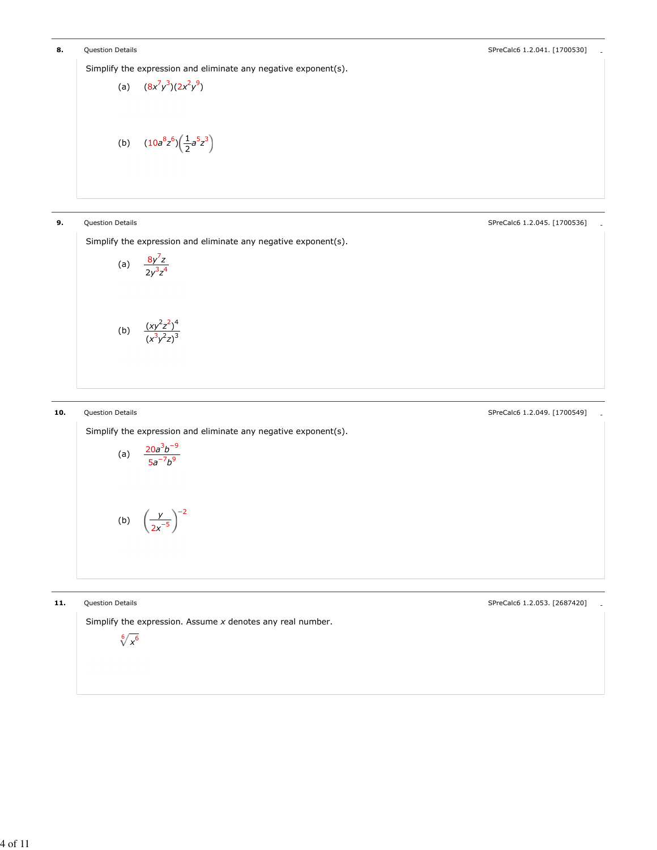Simplify the expression and eliminate any negative exponent(s).

(a) 
$$
(8x^7y^3)(2x^2y^9)
$$
  
(b)  $(10a^8z^6)(\frac{1}{2}a^5z^3)$ 

**9.** Question Details **and Contract Contract Contract Contract Contract Contract Contract Contract Contract Contract Contract Contract Contract Contract Contract Contract Contract Contract Contract Contract Contract Contra** 

Simplify the expression and eliminate any negative exponent(s).

(a) 
$$
\frac{8y^7z}{2y^3z^4}
$$
  
(b) 
$$
\frac{(xy^2z^2)^4}{(x^3y^2z)^3}
$$

10. Question Details **Access 20 and Contract 20 and Contract 20 and Contract 20 and Contract 20 and Contract 20 and Contract 20 and Contract 20 and Contract 20 and Contract 20 and Contract 20 and Contract 20 and Contract 2** 

Simplify the expression and eliminate any negative exponent(s).

(a) 
$$
\frac{20a^3b^{-9}}{5a^{-7}b^9}
$$
  
(b) 
$$
\left(\frac{y}{2x^{-5}}\right)^{-2}
$$

 $\sqrt[6]{x^6}$ 

11. Question Details **and Contract Contract Contract Contract Contract Contract Contract Contract Contract Contract Contract Contract Contract Contract Contract Contract Contract Contract Contract Contract Contract Contrac** 

Simplify the expression. Assume  $x$  denotes any real number.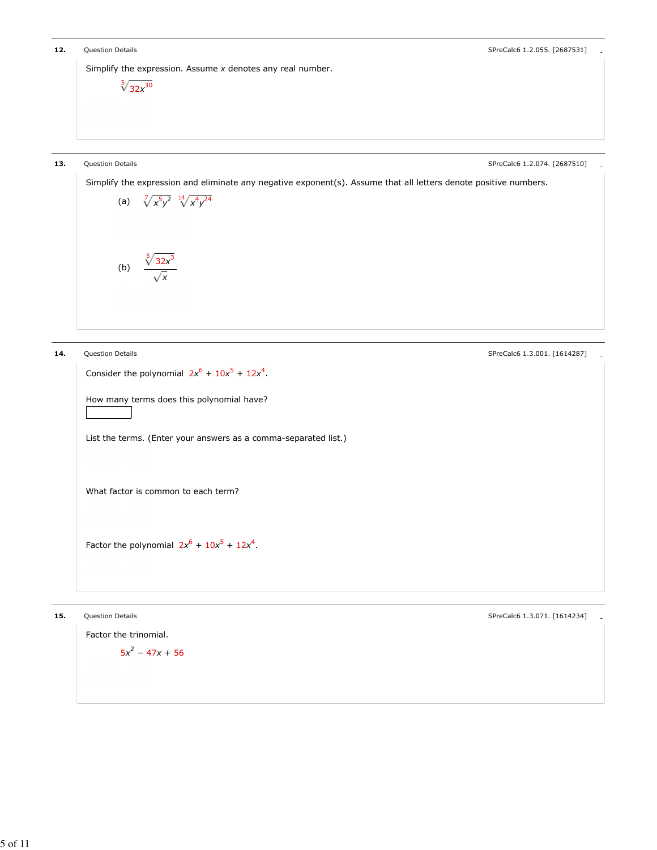```
12. Question Details and Contract Contract Contract Contract Contract Contract Contract Contract Contract Contract Contract Contract Contract Contract Contract Contract Contract Contract Contract Contract Contract Contrac
        Simplify the expression. Assume x denotes any real number.
                    \sqrt[5]{32x^{30}}13. Question Details Access 20 and Contact 20 and Contact 20 and Contact 20 and Contact 20 and Contact 20 and Contact 20 and Contact 20 and Contact 20 and Contact 20 and Contact 20 and Contact 20 and Contact 20 and Contac
        Simplify the expression and eliminate any negative exponent(s). Assume that all letters denote positive numbers.
                   (a) \sqrt[7]{x^5y^2} \sqrt[14]{x^4y^2}(b) \frac{\sqrt[5]{32x^3}}{2}x
14. Question Details and Containers and Containers and Containers and Containers and Containers and SPreCalc6 1.3.001. [1614287]
         Consider the polynomial 2x^6 + 10x^5 + 12x^4.
        How many terms does this polynomial have?
        List the terms. (Enter your answers as a comma-separated list.)
        What factor is common to each term?
         Factor the polynomial 2x^6 + 10x^5 + 12x^4.
```
Factor the trinomial.  $5x^2 - 47x + 56$ 

15. Question Details - SPreCalc6 1.3.071. [1614234]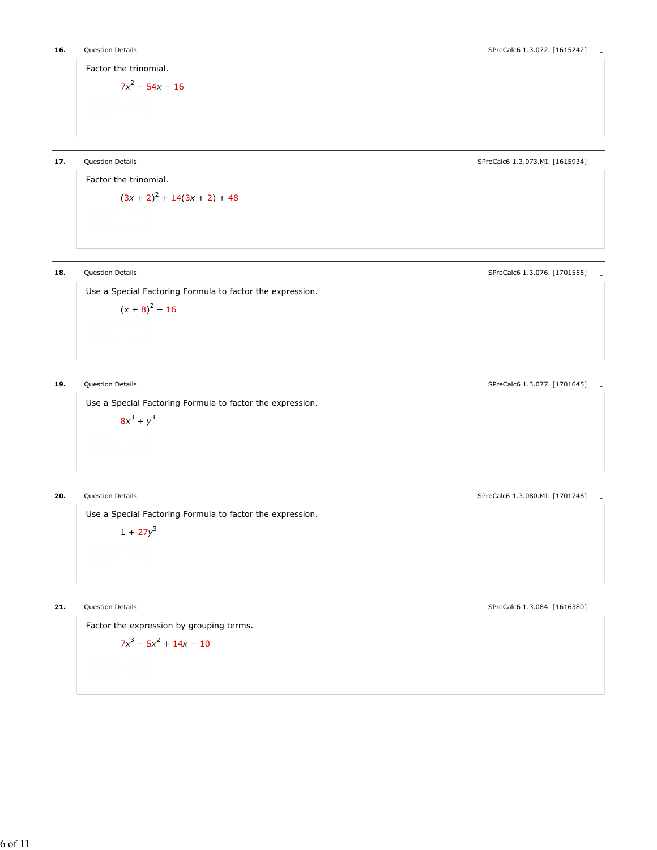Factor the trinomial.

 $7x^2 - 54x - 16$ 

17. Question Details - SPreCalc6 1.3.073.MI. [1615934]

Factor the trinomial.  $(3x + 2)^2 + 14(3x + 2) + 48$ 

Use a Special Factoring Formula to factor the expression.

 $(x + 8)^2 - 16$ 

Use a Special Factoring Formula to factor the expression.

 $8x^3 + y^3$ 

**20.** Question Details **Contains and Contains and Contains and Contains and Contains and Contains and Contains and SPreCalc6 1.3.080.MI. [1701746]** 

Use a Special Factoring Formula to factor the expression.

 $1 + 27y^3$ 

3

21. Question Details **Access 20 and Contact 20 and Contact 20 and Contact 21.084.** [1616380] Contact 20 and SPreCalc6 1.3.084. [1616380]

Factor the expression by grouping terms.

$$
7x^3 - 5x^2 + 14x - 10
$$

18. Question Details **Access 20 and Contract 20 and Contract 20 and Contract 20 and Contract 20 and Contract 20 and Contract 20 and Contract 20 and Contract 20 and Contract 20 and Contract 20 and Contract 20 and Contract 2** 

19. Question Details **Accord 2012 1201645** 2012 1201645 2012 1201645 2012 1201645 2012 1201645 2012 1201645 201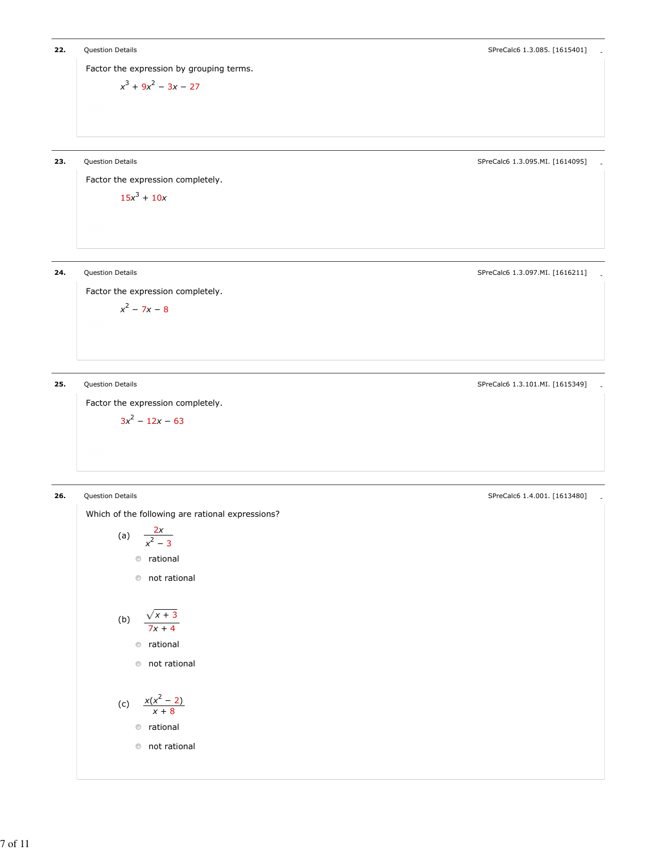Factor the expression by grouping terms.

$$
x^3 + 9x^2 - 3x - 27
$$

23. Question Details **Alternative Contract Contract Contract Contract Contract Contract Contract Contract Contract Contract Contract Contract Contract Contract Contract Contract Contract Contract Contract Contract Contract** 

Factor the expression completely.  $15x^3 + 10x$ 

24. Question Details **Container and Container and Container and Container and Container and Container and Container SPreCalc6 1.3.097.MI. [1616211]** 

Factor the expression completely.

 $x^2 - 7x - 8$ 

25. Question Details - SPreCalc6 1.3.101.MI. [1615349]

Factor the expression completely.

$$
3x^2-12x-63
$$

**26.** Question Details **Contains and Contains and Contains and Contains and Contains and Contains and Contains and Contains and Contains and Contains and Contains and Contains and Contains and Contains and Contains and Con** 

Which of the following are rational expressions?

(a) 
$$
\frac{2x}{x^2 - 3}
$$
  
 
$$
\circ \text{ rational}
$$
  
 
$$
\circ \text{ not rational}
$$

$$
(b) \quad \frac{\sqrt{x+3}}{7x+4}
$$

rational

not rational

(c) 
$$
\frac{x(x^2-2)}{x+8}
$$
   
 
$$
\circ \text{ rational}
$$

$$
\bullet \hspace{2mm} \text{not rational}
$$

7 of 11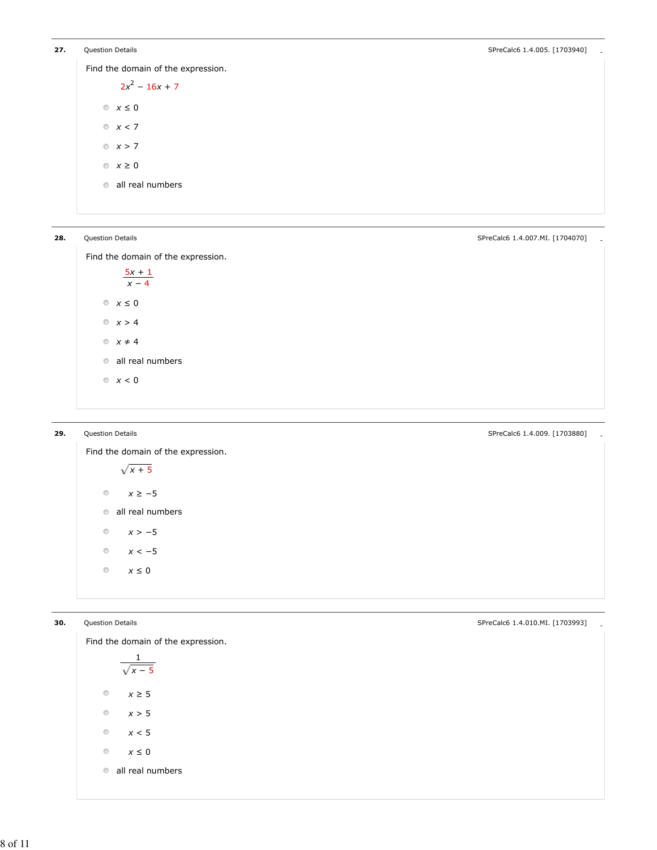Find the domain of the expression.

 $2x^2 - 16x + 7$  $x \leq 0$  $x < 7$  $x > 7$  $x \geq 0$ **all real numbers** 

**28.** Question Details **Container and Container and Container and Container and Container and Container and Container and Container and SPreCalc6 1.4.007.MI. [1704070]** 

Find the domain of the expression.

 $\frac{5x+1}{2}$  $x - 4$  $\textcirc x} \leq 0$  $x > 4$  $x \neq 4$ all real numbers  $\mathbb{R} \times 0$ 

Find the domain of the expression.  $\sqrt{x+5}$  $\circledcirc$  $x \ge -5$ all real numbers  $\circledcirc$  $x > -5$  $\circledcirc$  $x < -5$  $\circledcirc$  $x\leq 0$ 

**29.** Question Details **Contains and Contains and Contains and Contains and Contains and Contains and Contains and Contains and Contains and Contains and Contains and Contains and Contains and Contains and Contains and Con** 

Find the domain of the expression. 1  $\sqrt{x-5}$  $\circledcirc$  $x \geq 5$  $\odot$  $x > 5$  $\circledcirc$  $x < 5$  $\circledcirc$  $x \leq 0$ all real numbers

30. Question Details - SPreCalc6 1.4.010.MI. [1703993]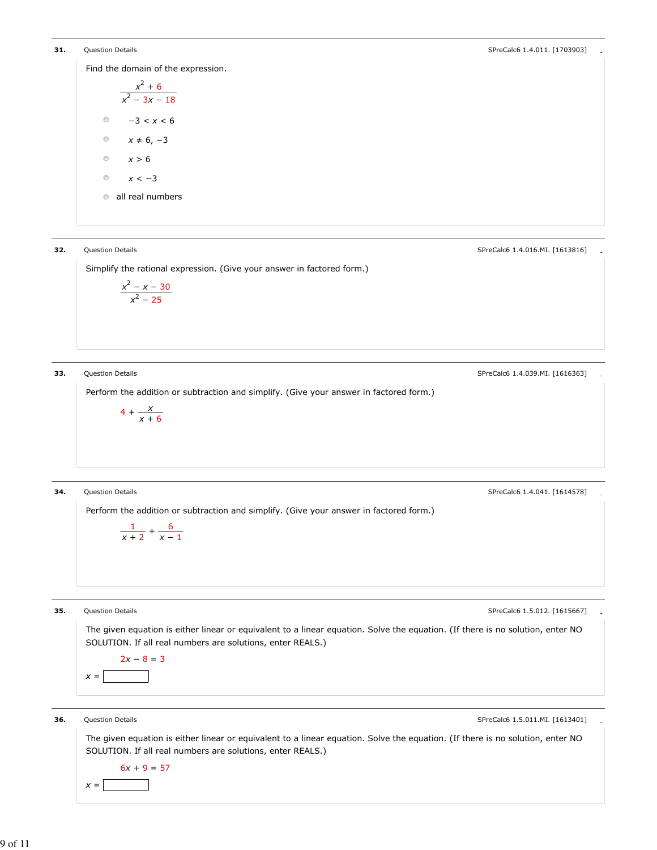**31.** Question Details **Contains and Contains and Contains and Contains and Contains and Contains and Contains and Contains and Contains and Contains and Contains and Contains and Contains and Contains and Contains and Con** 

Find the domain of the expression.

 $x^2 + 6$  $x^2 - 3x - 18$  $\circledcirc$  $-3 < x < 6$  $\circledcirc$  $x \neq 6, -3$  $\odot$  $x > 6$  $\circledcirc$  $x < -3$ **all real numbers** 

**32.** Question Details **Contains and Contains and Contains and Contains and Contains and Contains and SPreCalc6 1.4.016.MI. [1613816]** 

Simplify the rational expression. (Give your answer in factored form.)

$$
\frac{x^2-x-30}{x^2-25}
$$

**33.** Question Details **Contains and Contains and Contains and Contains and Contains and Contains and Contains and Contains and Contains and SPreCalc6 1.4.039.MI. [1616363]** 

Perform the addition or subtraction and simplify. (Give your answer in factored form.)

$$
4+\frac{x}{x+6}
$$

**34.** Question Details **Contains and Contains and Contains and Contains and Contains and Contains and Contains and Contains and Contains and SPreCalc6 1.4.041. [1614578]** 

Perform the addition or subtraction and simplify. (Give your answer in factored form.)

$$
\frac{1}{x+2}+\frac{6}{x-1}
$$

 $x =$ 

**35.** Question Details **Contains and Contains and Contains and Contains and Contains and Contains and Contains and Contains and Contains and SPreCalc6 1.5.012. [1615667]** 

The given equation is either linear or equivalent to a linear equation. Solve the equation. (If there is no solution, enter NO SOLUTION. If all real numbers are solutions, enter REALS.)

 $x =$  $2x - 8 = 3$ 

**36.** Question Details **Contains and Contains and Contains and Contains and Contains and Contains and Contains and Contains and Contains and SPreCalc6 1.5.011.MI. [1613401]** 

The given equation is either linear or equivalent to a linear equation. Solve the equation. (If there is no solution, enter NO SOLUTION. If all real numbers are solutions, enter REALS.)  $6x + 9 = 57$ 

9 of 11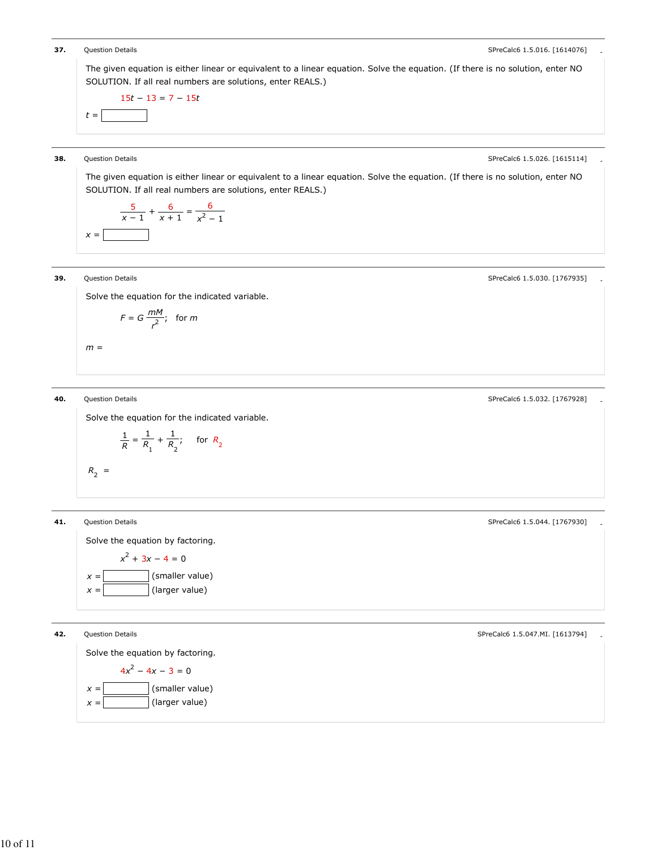

10 of 11